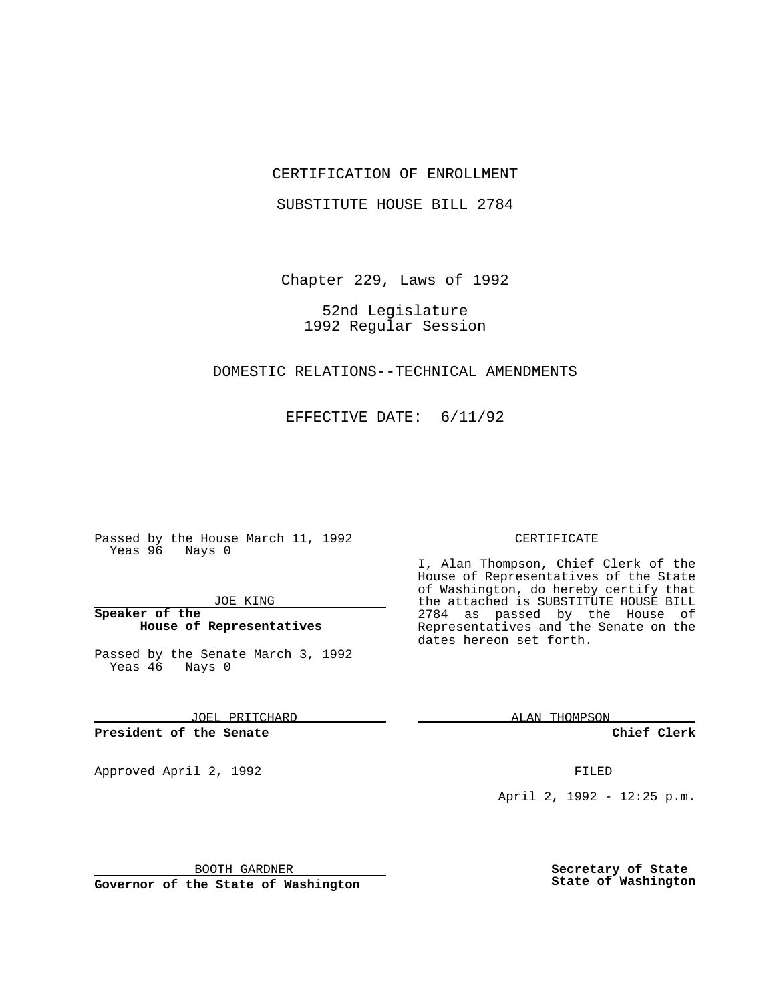## CERTIFICATION OF ENROLLMENT

SUBSTITUTE HOUSE BILL 2784

Chapter 229, Laws of 1992

52nd Legislature 1992 Regular Session

### DOMESTIC RELATIONS--TECHNICAL AMENDMENTS

EFFECTIVE DATE: 6/11/92

Passed by the House March 11, 1992 Yeas 96 Nays 0

JOE KING

**Speaker of the House of Representatives**

Passed by the Senate March 3, 1992 Yeas 46 Nays 0

JOEL PRITCHARD

**President of the Senate**

Approved April 2, 1992 **FILED** 

CERTIFICATE

I, Alan Thompson, Chief Clerk of the House of Representatives of the State of Washington, do hereby certify that the attached is SUBSTITUTE HOUSE BILL 2784 as passed by the House of Representatives and the Senate on the dates hereon set forth.

ALAN THOMPSON

**Chief Clerk**

April 2, 1992 - 12:25 p.m.

BOOTH GARDNER

**Governor of the State of Washington**

**Secretary of State State of Washington**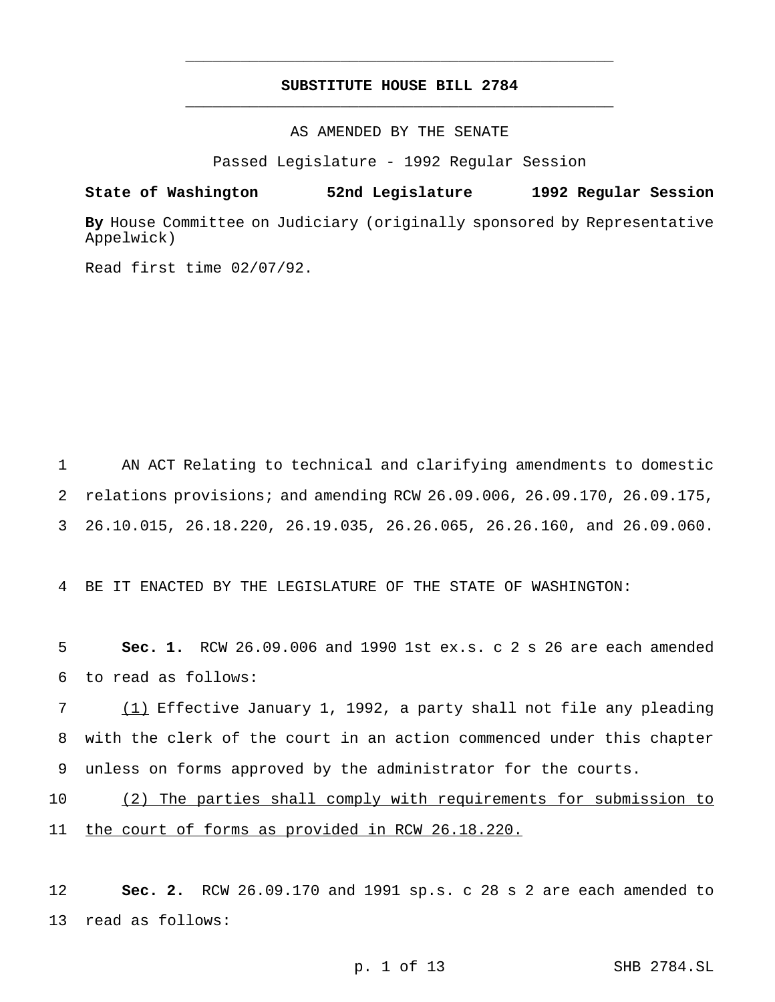# **SUBSTITUTE HOUSE BILL 2784** \_\_\_\_\_\_\_\_\_\_\_\_\_\_\_\_\_\_\_\_\_\_\_\_\_\_\_\_\_\_\_\_\_\_\_\_\_\_\_\_\_\_\_\_\_\_\_

\_\_\_\_\_\_\_\_\_\_\_\_\_\_\_\_\_\_\_\_\_\_\_\_\_\_\_\_\_\_\_\_\_\_\_\_\_\_\_\_\_\_\_\_\_\_\_

AS AMENDED BY THE SENATE

Passed Legislature - 1992 Regular Session

**State of Washington 52nd Legislature 1992 Regular Session**

**By** House Committee on Judiciary (originally sponsored by Representative Appelwick)

Read first time 02/07/92.

1 AN ACT Relating to technical and clarifying amendments to domestic 2 relations provisions; and amending RCW 26.09.006, 26.09.170, 26.09.175, 3 26.10.015, 26.18.220, 26.19.035, 26.26.065, 26.26.160, and 26.09.060.

4 BE IT ENACTED BY THE LEGISLATURE OF THE STATE OF WASHINGTON:

5 **Sec. 1.** RCW 26.09.006 and 1990 1st ex.s. c 2 s 26 are each amended 6 to read as follows:

7 (1) Effective January 1, 1992, a party shall not file any pleading 8 with the clerk of the court in an action commenced under this chapter 9 unless on forms approved by the administrator for the courts.

10 (2) The parties shall comply with requirements for submission to 11 the court of forms as provided in RCW 26.18.220.

12 **Sec. 2.** RCW 26.09.170 and 1991 sp.s. c 28 s 2 are each amended to 13 read as follows: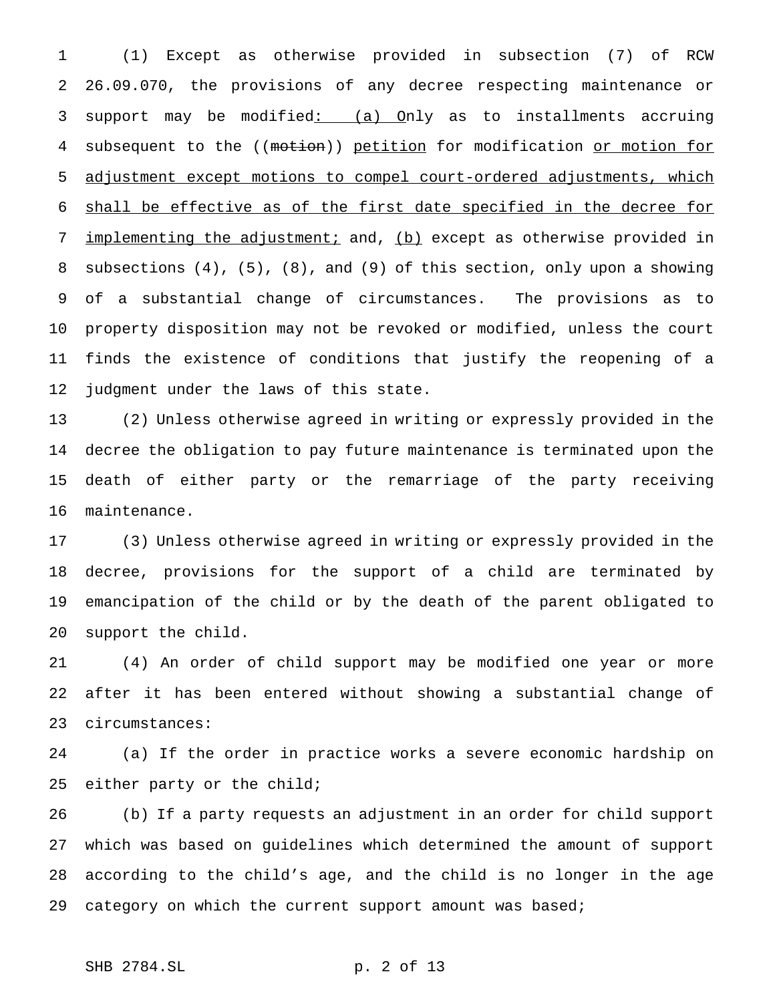(1) Except as otherwise provided in subsection (7) of RCW 26.09.070, the provisions of any decree respecting maintenance or support may be modified: (a) Only as to installments accruing 4 subsequent to the ((motion)) petition for modification or motion for adjustment except motions to compel court-ordered adjustments, which shall be effective as of the first date specified in the decree for 7 implementing the adjustment; and, (b) except as otherwise provided in subsections (4), (5), (8), and (9) of this section, only upon a showing of a substantial change of circumstances. The provisions as to property disposition may not be revoked or modified, unless the court finds the existence of conditions that justify the reopening of a judgment under the laws of this state.

 (2) Unless otherwise agreed in writing or expressly provided in the decree the obligation to pay future maintenance is terminated upon the death of either party or the remarriage of the party receiving maintenance.

 (3) Unless otherwise agreed in writing or expressly provided in the decree, provisions for the support of a child are terminated by emancipation of the child or by the death of the parent obligated to support the child.

 (4) An order of child support may be modified one year or more after it has been entered without showing a substantial change of circumstances:

 (a) If the order in practice works a severe economic hardship on either party or the child;

 (b) If a party requests an adjustment in an order for child support which was based on guidelines which determined the amount of support according to the child's age, and the child is no longer in the age category on which the current support amount was based;

## SHB 2784.SL p. 2 of 13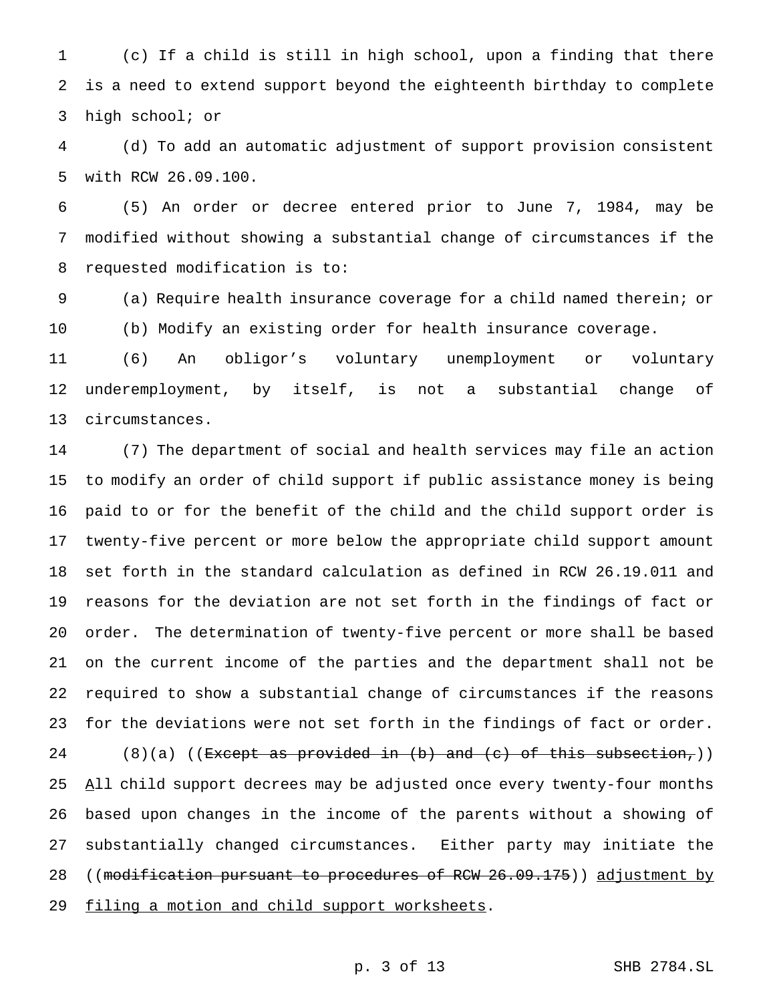(c) If a child is still in high school, upon a finding that there is a need to extend support beyond the eighteenth birthday to complete high school; or

 (d) To add an automatic adjustment of support provision consistent with RCW 26.09.100.

 (5) An order or decree entered prior to June 7, 1984, may be modified without showing a substantial change of circumstances if the requested modification is to:

 (a) Require health insurance coverage for a child named therein; or (b) Modify an existing order for health insurance coverage.

 (6) An obligor's voluntary unemployment or voluntary underemployment, by itself, is not a substantial change of circumstances.

 (7) The department of social and health services may file an action to modify an order of child support if public assistance money is being paid to or for the benefit of the child and the child support order is twenty-five percent or more below the appropriate child support amount set forth in the standard calculation as defined in RCW 26.19.011 and reasons for the deviation are not set forth in the findings of fact or order. The determination of twenty-five percent or more shall be based on the current income of the parties and the department shall not be required to show a substantial change of circumstances if the reasons for the deviations were not set forth in the findings of fact or order. 24 (8)(a) ((Except as provided in (b) and (c) of this subsection,)) 25 All child support decrees may be adjusted once every twenty-four months based upon changes in the income of the parents without a showing of substantially changed circumstances. Either party may initiate the 28 ((modification pursuant to procedures of RCW 26.09.175)) adjustment by 29 filing a motion and child support worksheets.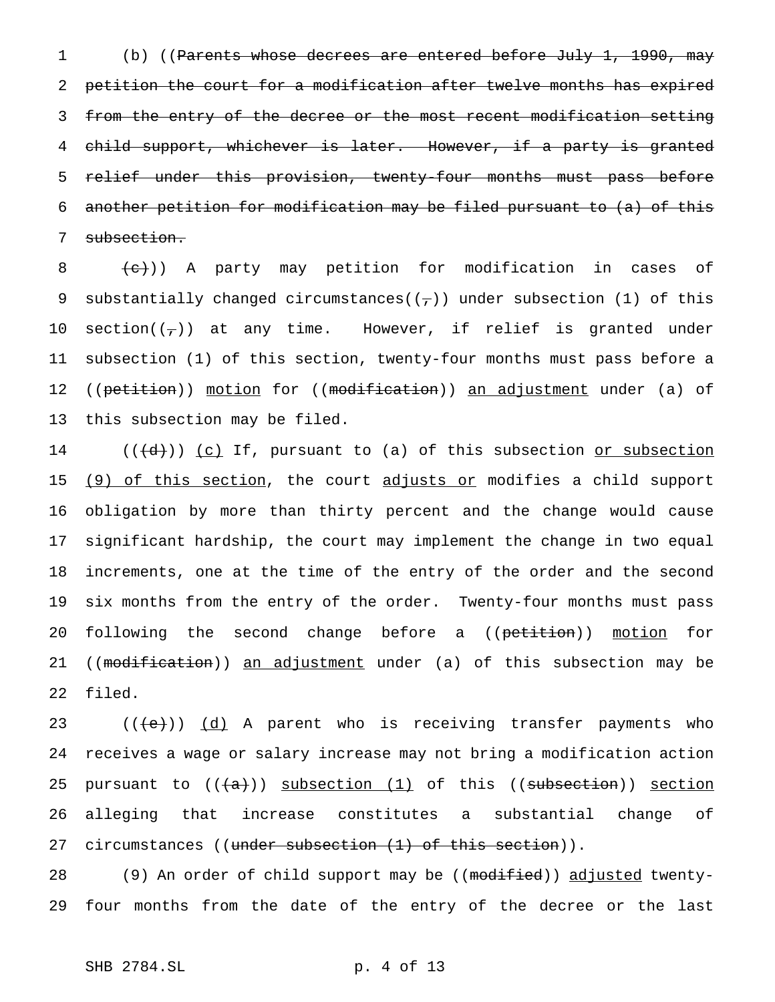1 (b) ((Parents whose decrees are entered before July 1, 1990, may 2 petition the court for a modification after twelve months has expired 3 from the entry of the decree or the most recent modification setting 4 child support, whichever is later. However, if a party is granted 5 relief under this provision, twenty-four months must pass before 6 another petition for modification may be filed pursuant to (a) of this 7 subsection.

 $8$   $\left( e\right)$ ) A party may petition for modification in cases of 9 substantially changed circumstances( $(\tau)$ ) under subsection (1) of this 10 section( $(\tau)$ ) at any time. However, if relief is granted under 11 subsection (1) of this section, twenty-four months must pass before a 12 ((petition)) motion for ((modification)) <u>an adjustment</u> under (a) of 13 this subsection may be filed.

14  $((\{d\}))(c)$  If, pursuant to (a) of this subsection or subsection 15 (9) of this section, the court adjusts or modifies a child support 16 obligation by more than thirty percent and the change would cause 17 significant hardship, the court may implement the change in two equal 18 increments, one at the time of the entry of the order and the second 19 six months from the entry of the order. Twenty-four months must pass 20 following the second change before a ((petition)) motion for 21 ((modification)) an adjustment under (a) of this subsection may be 22 filed.

23  $((+e))$   $(d)$  A parent who is receiving transfer payments who 24 receives a wage or salary increase may not bring a modification action 25 pursuant to  $((+a))$  subsection  $(1)$  of this  $(($ subsection)) section 26 alleging that increase constitutes a substantial change of 27 circumstances ((under subsection (1) of this section)).

28 (9) An order of child support may be ((modified)) adjusted twenty-29 four months from the date of the entry of the decree or the last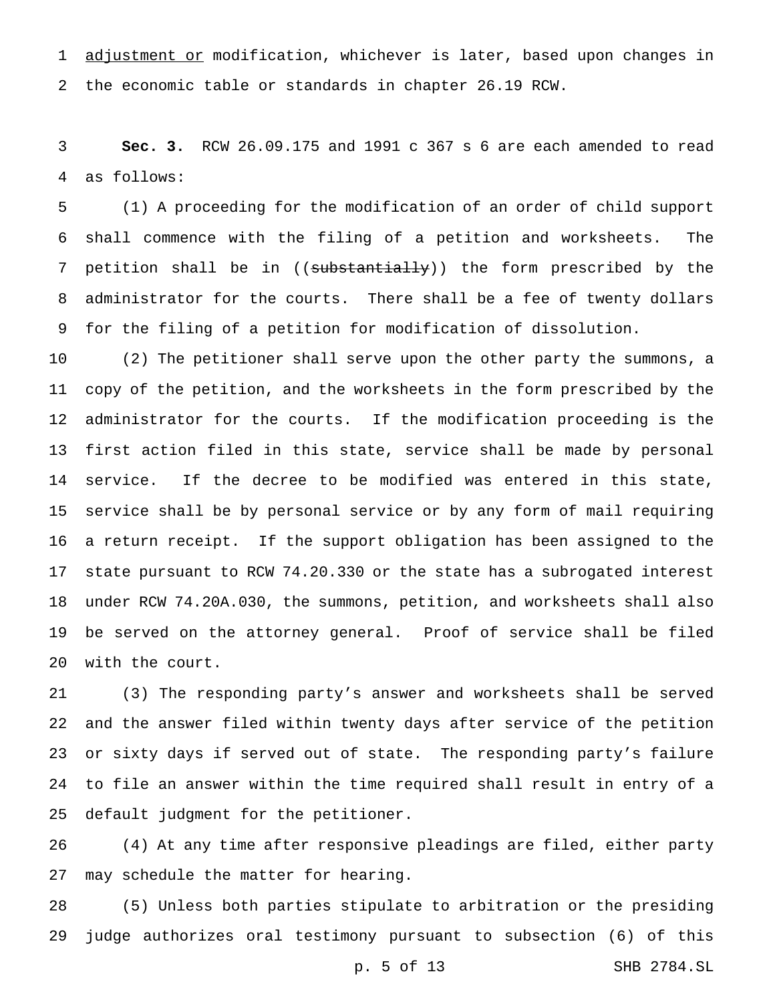1 adjustment or modification, whichever is later, based upon changes in the economic table or standards in chapter 26.19 RCW.

 **Sec. 3.** RCW 26.09.175 and 1991 c 367 s 6 are each amended to read as follows:

 (1) A proceeding for the modification of an order of child support shall commence with the filing of a petition and worksheets. The 7 petition shall be in ((substantially)) the form prescribed by the administrator for the courts. There shall be a fee of twenty dollars for the filing of a petition for modification of dissolution.

 (2) The petitioner shall serve upon the other party the summons, a copy of the petition, and the worksheets in the form prescribed by the administrator for the courts. If the modification proceeding is the first action filed in this state, service shall be made by personal service. If the decree to be modified was entered in this state, service shall be by personal service or by any form of mail requiring a return receipt. If the support obligation has been assigned to the state pursuant to RCW 74.20.330 or the state has a subrogated interest under RCW 74.20A.030, the summons, petition, and worksheets shall also be served on the attorney general. Proof of service shall be filed with the court.

 (3) The responding party's answer and worksheets shall be served and the answer filed within twenty days after service of the petition or sixty days if served out of state. The responding party's failure to file an answer within the time required shall result in entry of a default judgment for the petitioner.

 (4) At any time after responsive pleadings are filed, either party may schedule the matter for hearing.

 (5) Unless both parties stipulate to arbitration or the presiding judge authorizes oral testimony pursuant to subsection (6) of this

p. 5 of 13 SHB 2784.SL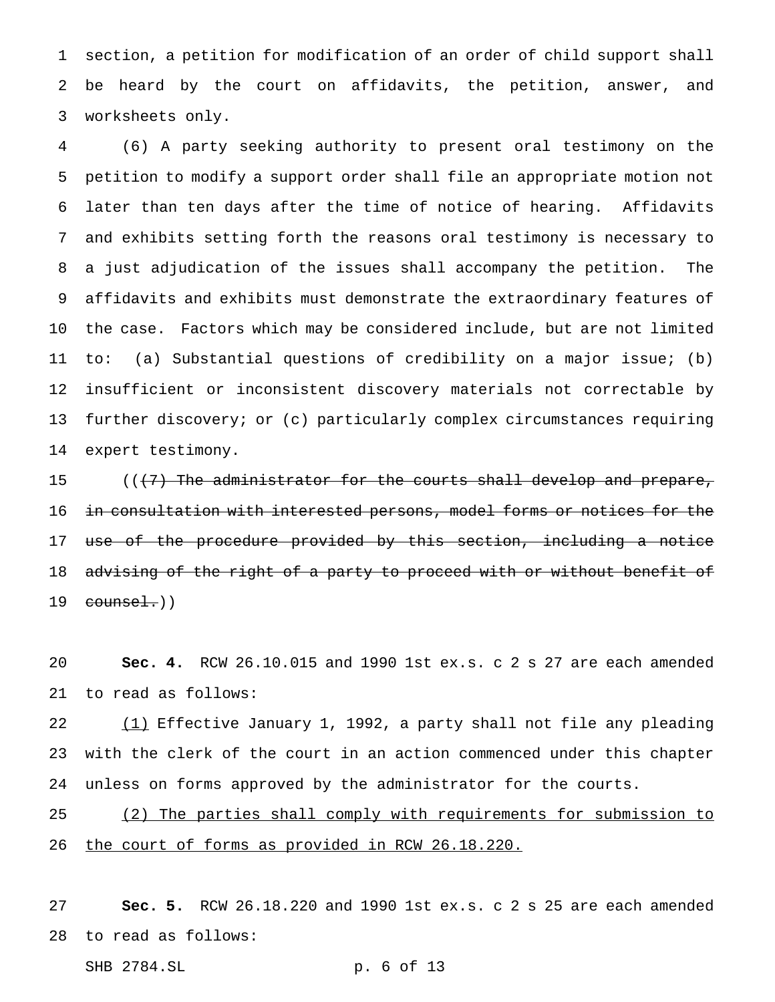section, a petition for modification of an order of child support shall be heard by the court on affidavits, the petition, answer, and worksheets only.

 (6) A party seeking authority to present oral testimony on the petition to modify a support order shall file an appropriate motion not later than ten days after the time of notice of hearing. Affidavits and exhibits setting forth the reasons oral testimony is necessary to a just adjudication of the issues shall accompany the petition. The affidavits and exhibits must demonstrate the extraordinary features of the case. Factors which may be considered include, but are not limited to: (a) Substantial questions of credibility on a major issue; (b) insufficient or inconsistent discovery materials not correctable by further discovery; or (c) particularly complex circumstances requiring expert testimony.

15 ((<del>(7) The administrator for the courts shall develop and prepare,</del> in consultation with interested persons, model forms or notices for the use of the procedure provided by this section, including a notice 18 advising of the right of a party to proceed with or without benefit of counsel.)

 **Sec. 4.** RCW 26.10.015 and 1990 1st ex.s. c 2 s 27 are each amended to read as follows:

22 (1) Effective January 1, 1992, a party shall not file any pleading with the clerk of the court in an action commenced under this chapter unless on forms approved by the administrator for the courts.

 (2) The parties shall comply with requirements for submission to the court of forms as provided in RCW 26.18.220.

 **Sec. 5.** RCW 26.18.220 and 1990 1st ex.s. c 2 s 25 are each amended to read as follows:

SHB 2784.SL p. 6 of 13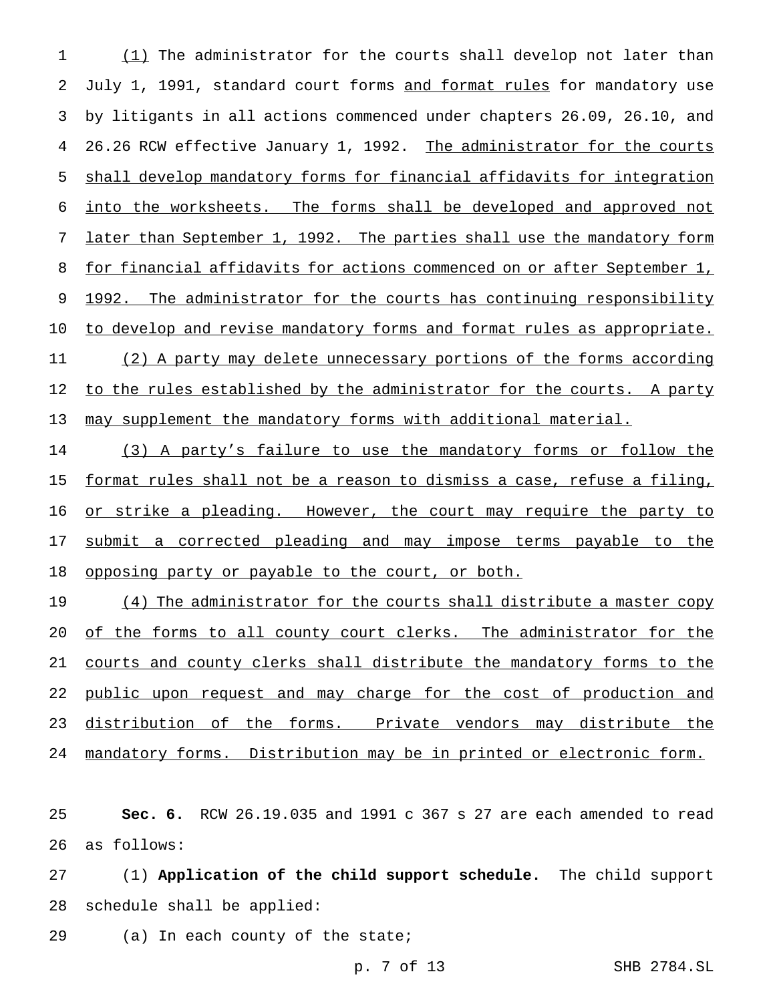1 (1) The administrator for the courts shall develop not later than 2 July 1, 1991, standard court forms and format rules for mandatory use 3 by litigants in all actions commenced under chapters 26.09, 26.10, and 4 26.26 RCW effective January 1, 1992. The administrator for the courts 5 shall develop mandatory forms for financial affidavits for integration 6 into the worksheets. The forms shall be developed and approved not 7 later than September 1, 1992. The parties shall use the mandatory form 8 for financial affidavits for actions commenced on or after September 1, 9 1992. The administrator for the courts has continuing responsibility 10 to develop and revise mandatory forms and format rules as appropriate. 11 (2) A party may delete unnecessary portions of the forms according 12 to the rules established by the administrator for the courts. A party 13 may supplement the mandatory forms with additional material.

14 (3) A party's failure to use the mandatory forms or follow the 15 format rules shall not be a reason to dismiss a case, refuse a filing, 16 or strike a pleading. However, the court may require the party to 17 submit a corrected pleading and may impose terms payable to the 18 opposing party or payable to the court, or both.

19 (4) The administrator for the courts shall distribute a master copy 20 of the forms to all county court clerks. The administrator for the 21 courts and county clerks shall distribute the mandatory forms to the 22 public upon request and may charge for the cost of production and 23 distribution of the forms. Private vendors may distribute the 24 mandatory forms. Distribution may be in printed or electronic form.

25 **Sec. 6.** RCW 26.19.035 and 1991 c 367 s 27 are each amended to read 26 as follows:

27 (1) **Application of the child support schedule.** The child support 28 schedule shall be applied:

29 (a) In each county of the state;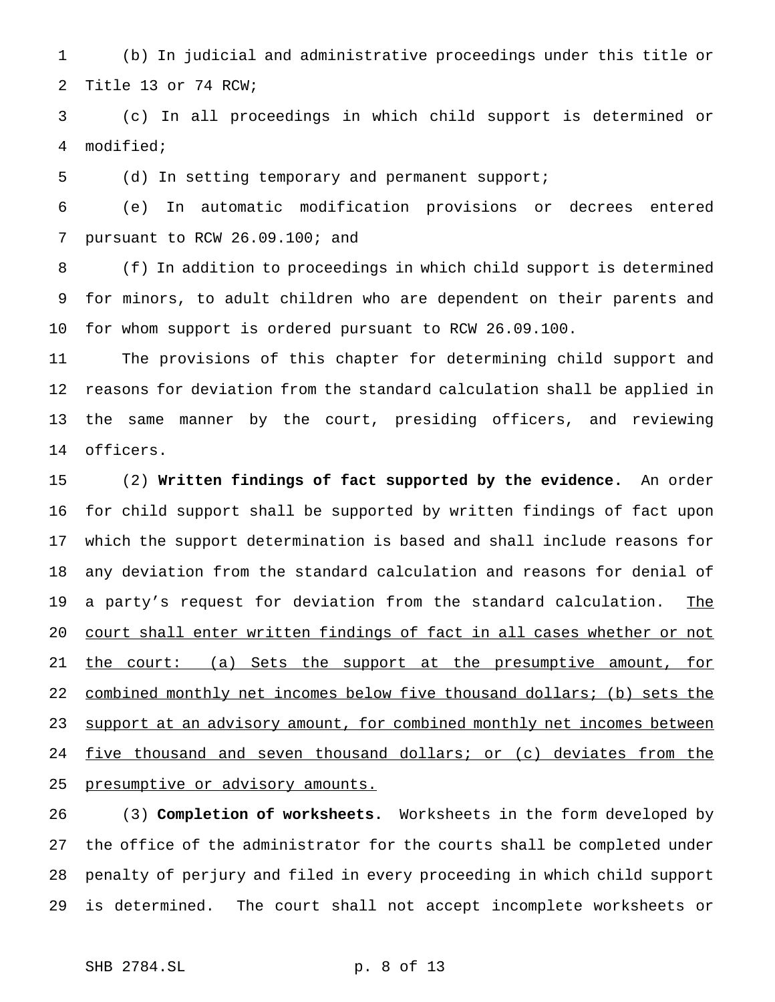(b) In judicial and administrative proceedings under this title or Title 13 or 74 RCW;

 (c) In all proceedings in which child support is determined or modified;

(d) In setting temporary and permanent support;

 (e) In automatic modification provisions or decrees entered pursuant to RCW 26.09.100; and

 (f) In addition to proceedings in which child support is determined for minors, to adult children who are dependent on their parents and for whom support is ordered pursuant to RCW 26.09.100.

 The provisions of this chapter for determining child support and reasons for deviation from the standard calculation shall be applied in the same manner by the court, presiding officers, and reviewing officers.

 (2) **Written findings of fact supported by the evidence.** An order for child support shall be supported by written findings of fact upon which the support determination is based and shall include reasons for any deviation from the standard calculation and reasons for denial of 19 a party's request for deviation from the standard calculation. The court shall enter written findings of fact in all cases whether or not the court: (a) Sets the support at the presumptive amount, for combined monthly net incomes below five thousand dollars; (b) sets the 23 support at an advisory amount, for combined monthly net incomes between 24 five thousand and seven thousand dollars; or (c) deviates from the 25 presumptive or advisory amounts.

 (3) **Completion of worksheets.** Worksheets in the form developed by the office of the administrator for the courts shall be completed under penalty of perjury and filed in every proceeding in which child support is determined. The court shall not accept incomplete worksheets or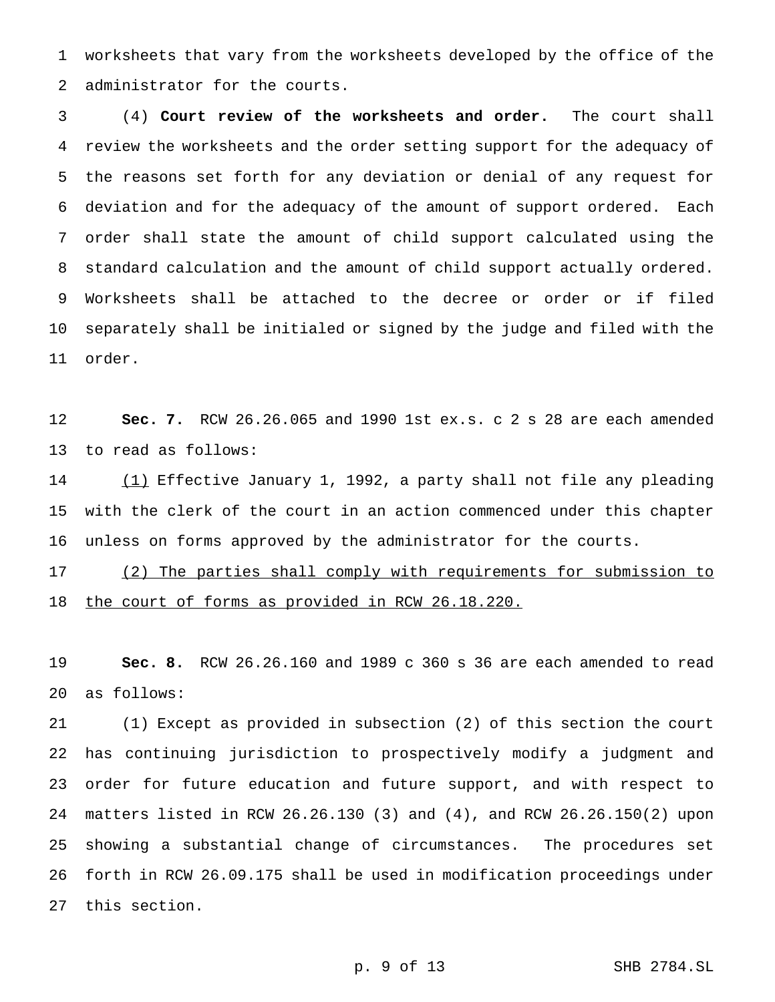worksheets that vary from the worksheets developed by the office of the administrator for the courts.

 (4) **Court review of the worksheets and order.** The court shall review the worksheets and the order setting support for the adequacy of the reasons set forth for any deviation or denial of any request for deviation and for the adequacy of the amount of support ordered. Each order shall state the amount of child support calculated using the standard calculation and the amount of child support actually ordered. Worksheets shall be attached to the decree or order or if filed separately shall be initialed or signed by the judge and filed with the order.

 **Sec. 7.** RCW 26.26.065 and 1990 1st ex.s. c 2 s 28 are each amended to read as follows:

14 (1) Effective January 1, 1992, a party shall not file any pleading with the clerk of the court in an action commenced under this chapter unless on forms approved by the administrator for the courts.

 (2) The parties shall comply with requirements for submission to 18 the court of forms as provided in RCW 26.18.220.

 **Sec. 8.** RCW 26.26.160 and 1989 c 360 s 36 are each amended to read as follows:

 (1) Except as provided in subsection (2) of this section the court has continuing jurisdiction to prospectively modify a judgment and order for future education and future support, and with respect to matters listed in RCW 26.26.130 (3) and (4), and RCW 26.26.150(2) upon showing a substantial change of circumstances. The procedures set forth in RCW 26.09.175 shall be used in modification proceedings under this section.

p. 9 of 13 SHB 2784.SL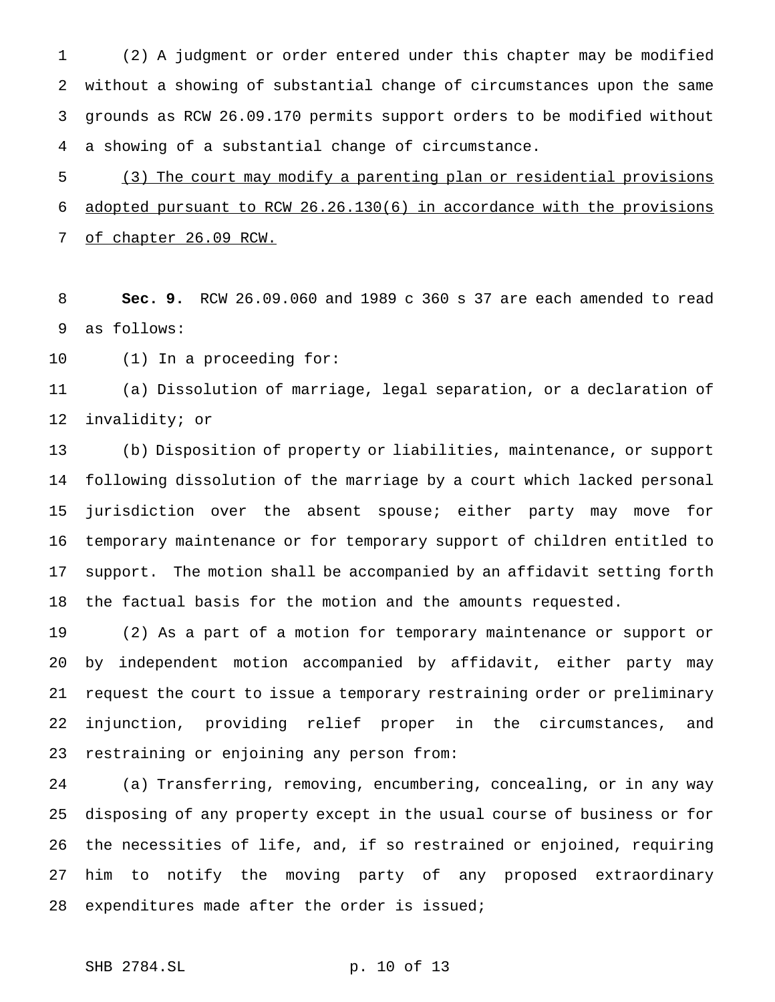(2) A judgment or order entered under this chapter may be modified without a showing of substantial change of circumstances upon the same grounds as RCW 26.09.170 permits support orders to be modified without a showing of a substantial change of circumstance.

 (3) The court may modify a parenting plan or residential provisions adopted pursuant to RCW 26.26.130(6) in accordance with the provisions of chapter 26.09 RCW.

 **Sec. 9.** RCW 26.09.060 and 1989 c 360 s 37 are each amended to read as follows:

(1) In a proceeding for:

 (a) Dissolution of marriage, legal separation, or a declaration of invalidity; or

 (b) Disposition of property or liabilities, maintenance, or support following dissolution of the marriage by a court which lacked personal jurisdiction over the absent spouse; either party may move for temporary maintenance or for temporary support of children entitled to support. The motion shall be accompanied by an affidavit setting forth the factual basis for the motion and the amounts requested.

 (2) As a part of a motion for temporary maintenance or support or by independent motion accompanied by affidavit, either party may request the court to issue a temporary restraining order or preliminary injunction, providing relief proper in the circumstances, and restraining or enjoining any person from:

 (a) Transferring, removing, encumbering, concealing, or in any way disposing of any property except in the usual course of business or for the necessities of life, and, if so restrained or enjoined, requiring him to notify the moving party of any proposed extraordinary 28 expenditures made after the order is issued;

SHB 2784.SL p. 10 of 13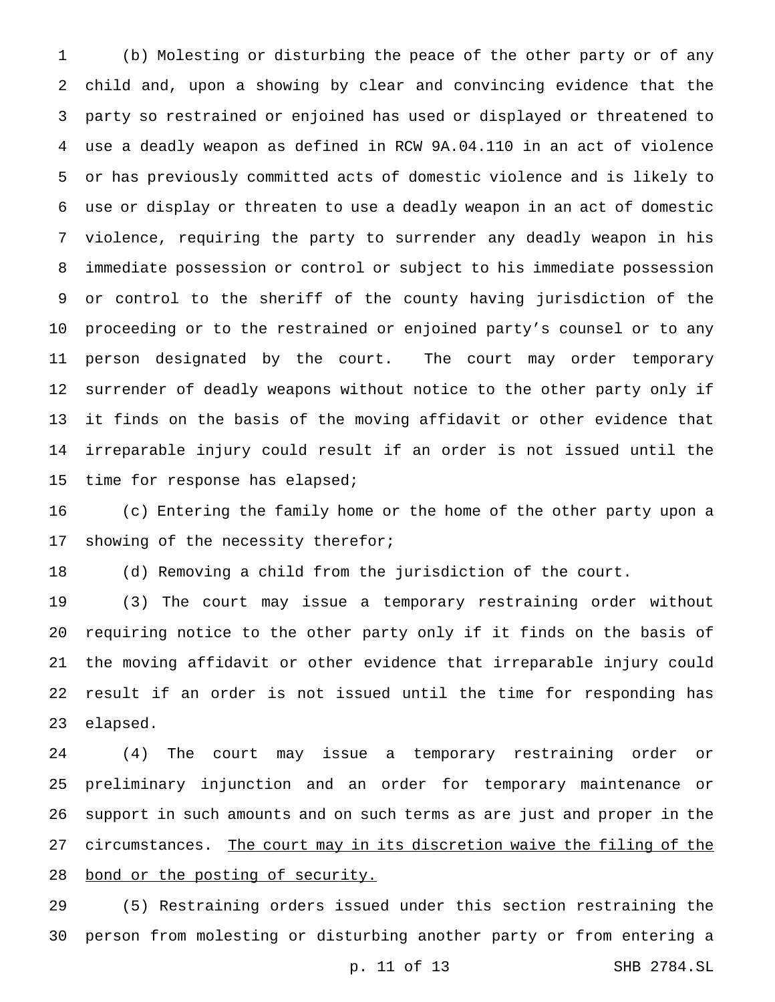(b) Molesting or disturbing the peace of the other party or of any child and, upon a showing by clear and convincing evidence that the party so restrained or enjoined has used or displayed or threatened to use a deadly weapon as defined in RCW 9A.04.110 in an act of violence or has previously committed acts of domestic violence and is likely to use or display or threaten to use a deadly weapon in an act of domestic violence, requiring the party to surrender any deadly weapon in his immediate possession or control or subject to his immediate possession or control to the sheriff of the county having jurisdiction of the proceeding or to the restrained or enjoined party's counsel or to any person designated by the court. The court may order temporary surrender of deadly weapons without notice to the other party only if it finds on the basis of the moving affidavit or other evidence that irreparable injury could result if an order is not issued until the 15 time for response has elapsed;

 (c) Entering the family home or the home of the other party upon a 17 showing of the necessity therefor;

(d) Removing a child from the jurisdiction of the court.

 (3) The court may issue a temporary restraining order without requiring notice to the other party only if it finds on the basis of the moving affidavit or other evidence that irreparable injury could result if an order is not issued until the time for responding has elapsed.

 (4) The court may issue a temporary restraining order or preliminary injunction and an order for temporary maintenance or support in such amounts and on such terms as are just and proper in the 27 circumstances. The court may in its discretion waive the filing of the 28 bond or the posting of security.

 (5) Restraining orders issued under this section restraining the person from molesting or disturbing another party or from entering a

p. 11 of 13 SHB 2784.SL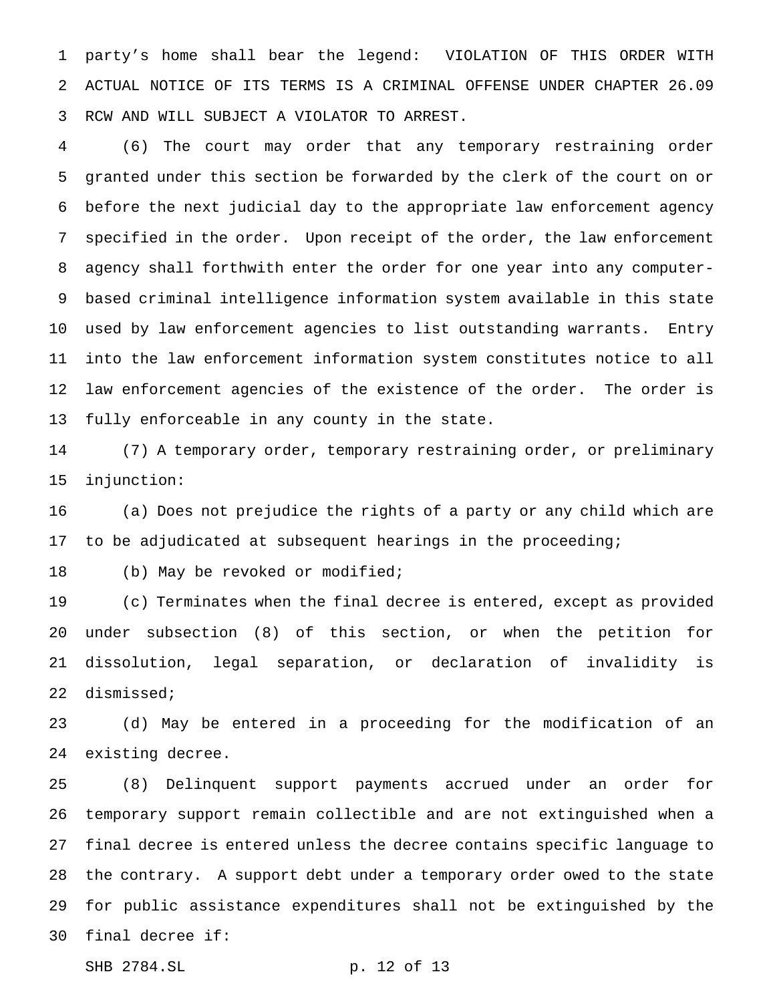party's home shall bear the legend: VIOLATION OF THIS ORDER WITH ACTUAL NOTICE OF ITS TERMS IS A CRIMINAL OFFENSE UNDER CHAPTER 26.09 RCW AND WILL SUBJECT A VIOLATOR TO ARREST.

 (6) The court may order that any temporary restraining order granted under this section be forwarded by the clerk of the court on or before the next judicial day to the appropriate law enforcement agency specified in the order. Upon receipt of the order, the law enforcement agency shall forthwith enter the order for one year into any computer- based criminal intelligence information system available in this state used by law enforcement agencies to list outstanding warrants. Entry into the law enforcement information system constitutes notice to all law enforcement agencies of the existence of the order. The order is fully enforceable in any county in the state.

 (7) A temporary order, temporary restraining order, or preliminary injunction:

 (a) Does not prejudice the rights of a party or any child which are to be adjudicated at subsequent hearings in the proceeding;

18 (b) May be revoked or modified;

 (c) Terminates when the final decree is entered, except as provided under subsection (8) of this section, or when the petition for dissolution, legal separation, or declaration of invalidity is dismissed;

 (d) May be entered in a proceeding for the modification of an existing decree.

 (8) Delinquent support payments accrued under an order for temporary support remain collectible and are not extinguished when a final decree is entered unless the decree contains specific language to the contrary. A support debt under a temporary order owed to the state for public assistance expenditures shall not be extinguished by the final decree if:

```
SHB 2784.SL p. 12 of 13
```